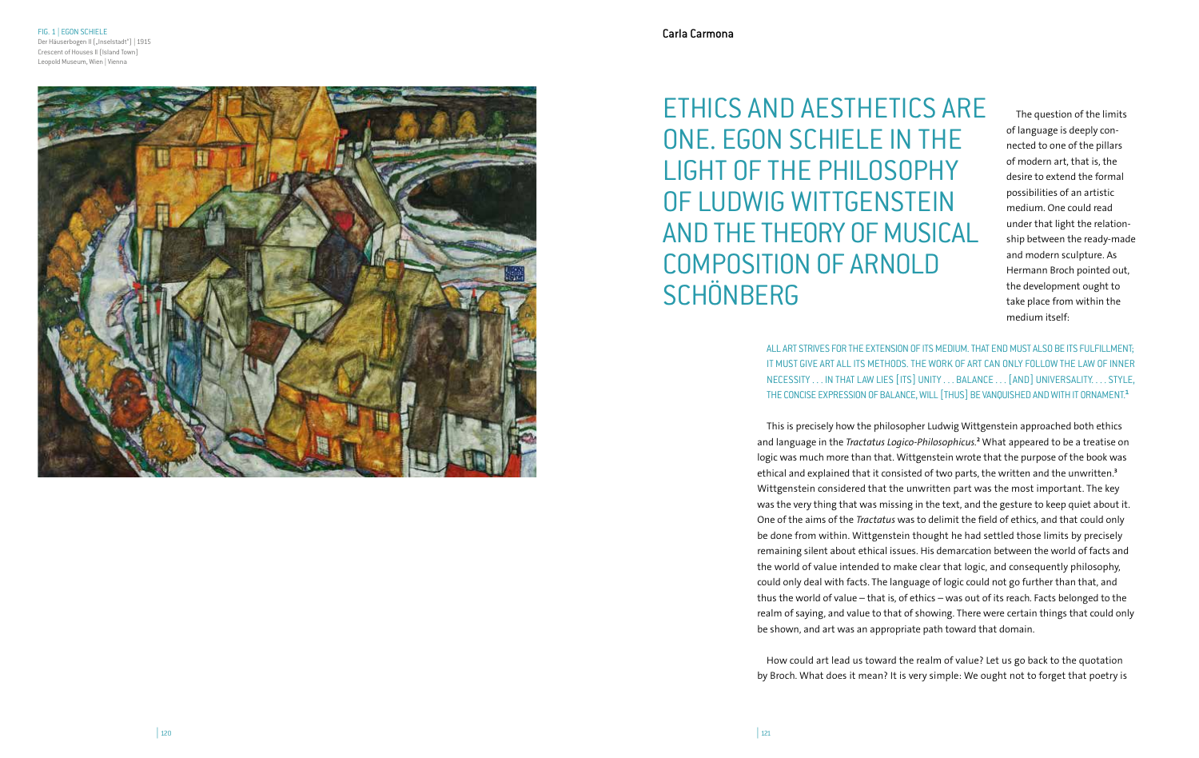FIG. 1 | EGON SCHIELE Der Häuserbogen II ("Inselstadt") | 1915 Crescent of Houses II (Island Town) Leopold Museum, Wien | Vienna



ETHICS AND AESTHETICS ARE ONE. EGON SCHIELE IN THE LIGHT OF THE PHILOSOPHY OF LUDWIG WITTGENSTEIN AND THE THEORY OF MUSICAL COMPOSITION OF ARNOLD **SCHÖNBERG** 

The question of the limits of language is deeply con nected to one of the pillars of modern art, that is, the desire to extend the formal possibilities of an artistic medium. One could read under that light the relation ship between the ready-made and modern sculpture. As Hermann Broch pointed out, the development ought to take place from within the medium itself:

ALL ART STRIVES FOR THE EXTENSION OF ITS MEDIUM. THAT END MUST ALSO BE ITS FULFILLMENT; IT MUST GIVE ART ALL ITS METHODS. THE WORK OF ART CAN ONLY FOLLOW THE LAW OF INNER NECESSITY . . . IN THAT LAW LIES [ITS] UNITY . . . BALANCE . . . [AND] UNIVERSALITY. . . . STYLE, THE CONCISE EXPRESSION OF BALANCE, WILL [THUS] BE VANQUISHED AND WITH IT ORNAMENT. **1**

This is precisely how the philosopher Ludwig Wittgenstein approached both ethics and language in the *Tractatus Logico-Philosophicus.* **2** What appeared to be a treatise on logic was much more than that. Wittgenstein wrote that the purpose of the book was ethical and explained that it consisted of two parts, the written and the unwritten. **3** Wittgenstein considered that the unwritten part was the most important. The key was the very thing that was missing in the text, and the gesture to keep quiet about it. One of the aims of the *Tractatus* was to delimit the field of ethics, and that could only be done from within. Wittgenstein thought he had settled those limits by precisely remaining silent about ethical issues. His demarcation between the world of facts and the world of value intended to make clear that logic, and consequently philosophy, could only deal with facts. The language of logic could not go further than that, and thus the world of value – that is, of ethics – was out of its reach. Facts belonged to the realm of saying, and value to that of showing. There were certain things that could only be shown, and art was an appropriate path toward that domain.

How could art lead us toward the realm of value? Let us go back to the quotation by Broch. What does it mean? It is very simple: We ought not to forget that poetry is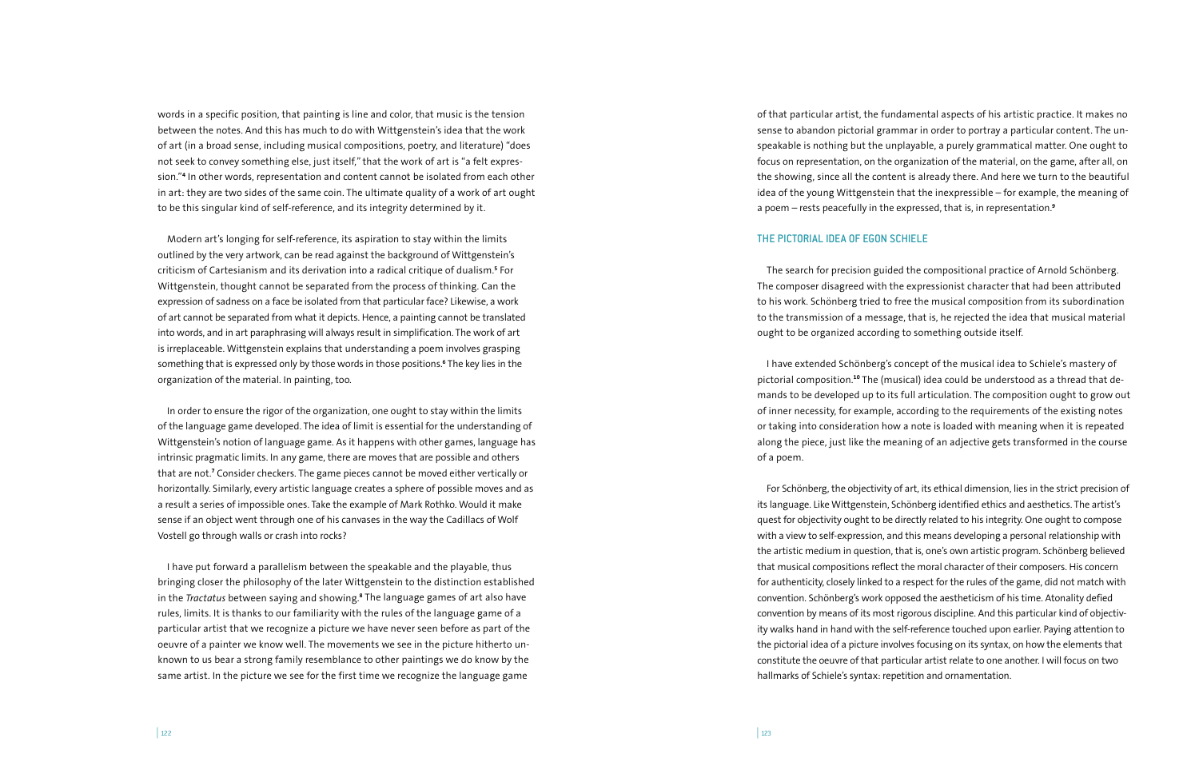words in a specific position, that painting is line and color, that music is the tension between the notes. And this has much to do with Wittgenstein's idea that the work of art (in a broad sense, including musical compositions, poetry, and literature) "does not seek to convey something else, just itself," that the work of art is "a felt expression."**<sup>4</sup>** In other words, representation and content cannot be isolated from each other in art: they are two sides of the same coin. The ultimate quality of a work of art ought to be this singular kind of self-reference, and its integrity determined by it.

Modern art's longing for self-reference, its aspiration to stay within the limits outlined by the very artwork, can be read against the background of Wittgenstein's criticism of Cartesianism and its derivation into a radical critique of dualism.**<sup>5</sup>** For Wittgenstein, thought cannot be separated from the process of thinking. Can the expression of sadness on a face be isolated from that particular face? Likewise, a work of art cannot be separated from what it depicts. Hence, a painting cannot be translated into words, and in art paraphrasing will always result in simplification. The work of art is irreplaceable. Wittgenstein explains that understanding a poem involves grasping something that is expressed only by those words in those positions.**<sup>6</sup>** The key lies in the organization of the material. In painting, too.

In order to ensure the rigor of the organization, one ought to stay within the limits of the language game developed. The idea of limit is essential for the understanding of Wittgenstein's notion of language game. As it happens with other games, language has intrinsic pragmatic limits. In any game, there are moves that are possible and others that are not.**<sup>7</sup>** Consider checkers. The game pieces cannot be moved either vertically or horizontally. Similarly, every artistic language creates a sphere of possible moves and as a result a series of impossible ones. Take the example of Mark Rothko. Would it make sense if an object went through one of his canvases in the way the Cadillacs of Wolf Vostell go through walls or crash into rocks?

I have put forward a parallelism between the speakable and the playable, thus bringing closer the philosophy of the later Wittgenstein to the distinction established in the *Tractatus* between saying and showing.**<sup>8</sup>** The language games of art also have rules, limits. It is thanks to our familiarity with the rules of the language game of a particular artist that we recognize a picture we have never seen before as part of the oeuvre of a painter we know well. The movements we see in the picture hitherto unknown to us bear a strong family resemblance to other paintings we do know by the same artist. In the picture we see for the first time we recognize the language game

of that particular artist, the fundamental aspects of his artistic practice. It makes no sense to abandon pictorial grammar in order to portray a particular content. The unspeakable is nothing but the unplayable, a purely grammatical matter. One ought to focus on representation, on the organization of the material, on the game, after all, on the showing, since all the content is already there. And here we turn to the beautiful idea of the young Wittgenstein that the inexpressible – for example, the meaning of a poem – rests peacefully in the expressed, that is, in representation.**<sup>9</sup>**

# THE PICTORIAL IDEA OF EGON SCHIELE

The search for precision guided the compositional practice of Arnold Schönberg. The composer disagreed with the expressionist character that had been attributed to his work. Schönberg tried to free the musical composition from its subordination to the transmission of a message, that is, he rejected the idea that musical material ought to be organized according to something outside itself.

I have extended Schönberg's concept of the musical idea to Schiele's mastery of pictorial composition.**10** The (musical) idea could be understood as a thread that demands to be developed up to its full articulation. The composition ought to grow out of inner necessity, for example, according to the requirements of the existing notes or taking into consideration how a note is loaded with meaning when it is repeated along the piece, just like the meaning of an adjective gets transformed in the course of a poem.

For Schönberg, the objectivity of art, its ethical dimension, lies in the strict precision of its language. Like Wittgenstein, Schönberg identified ethics and aesthetics. The artist's quest for objectivity ought to be directly related to his integrity. One ought to compose with a view to self-expression, and this means developing a personal relationship with the artistic medium in question, that is, one's own artistic program. Schönberg believed that musical compositions reflect the moral character of their composers. His concern for authenticity, closely linked to a respect for the rules of the game, did not match with convention. Schönberg's work opposed the aestheticism of his time. Atonality defied convention by means of its most rigorous discipline. And this particular kind of objectivity walks hand in hand with the self-reference touched upon earlier. Paying attention to the pictorial idea of a picture involves focusing on its syntax, on how the elements that constitute the oeuvre of that particular artist relate to one another. I will focus on two hallmarks of Schiele's syntax: repetition and ornamentation.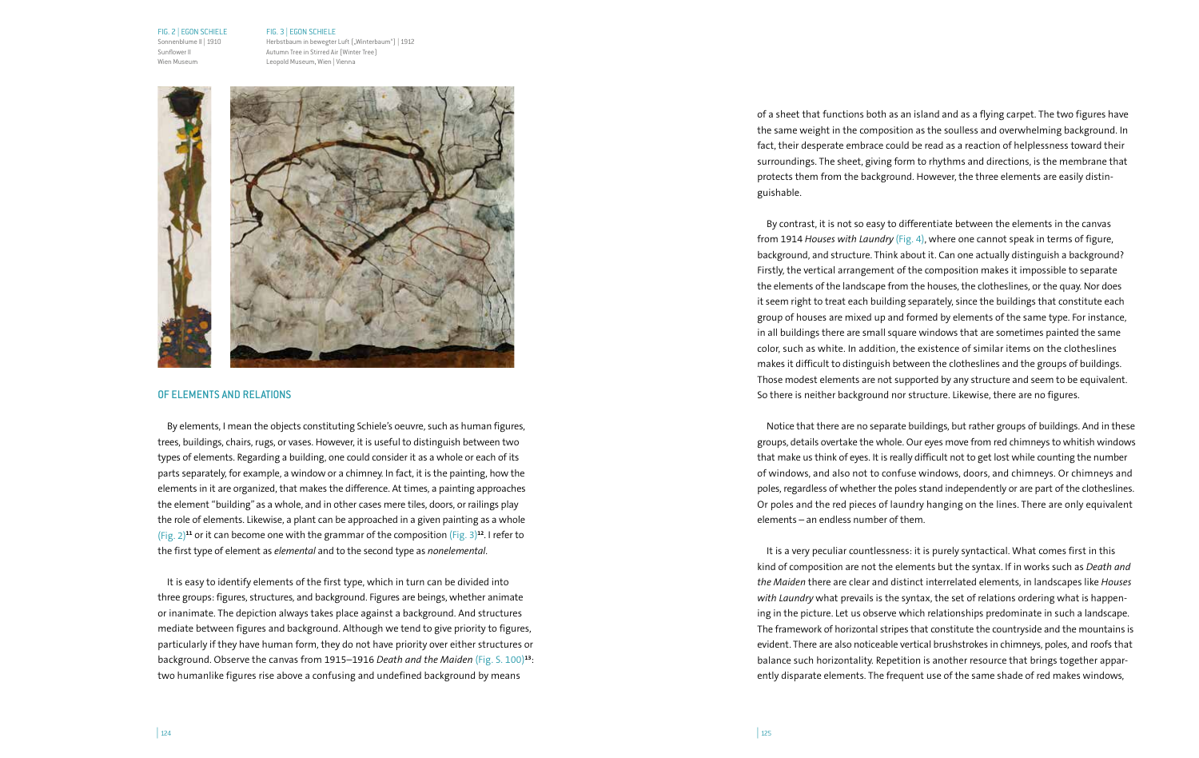### FIG. 2 | EGON SCHIELE

Sonnenblume II | 1910 Sunflower II Wien Museum

FIG. 3 | EGON SCHIELE Herbstbaum in bewegter Luft ("Winterbaum") | 1912 Autumn Tree in Stirred Air (Winter Tree) Leopold Museum, Wien | Vienna



### OF ELEMENTS AND RELATIONS

By elements, I mean the objects constituting Schiele's oeuvre, such as human figures, trees, buildings, chairs, rugs, or vases. However, it is useful to distinguish between two types of elements. Regarding a building, one could consider it as a whole or each of its parts separately, for example, a window or a chimney. In fact, it is the painting, how the elements in it are organized, that makes the difference. At times, a painting approaches the element "building" as a whole, and in other cases mere tiles, doors, or railings play the role of elements. Likewise, a plant can be approached in a given painting as a whole (Fig. 2)**<sup>11</sup>** or it can become one with the grammar of the composition (Fig. 3)**<sup>12</sup>**. I refer to the first type of element as *elemental* and to the second type as *nonelemental*.

It is easy to identify elements of the first type, which in turn can be divided into three groups: figures, structures, and background. Figures are beings, whether animate or inanimate. The depiction always takes place against a background. And structures mediate between figures and background. Although we tend to give priority to figures, particularly if they have human form, they do not have priority over either structures or background. Observe the canvas from 1915–1916 *Death and the Maiden* (Fig. S. 100)**<sup>13</sup>**: two humanlike figures rise above a confusing and undefined background by means

of a sheet that functions both as an island and as a flying carpet. The two figures have the same weight in the composition as the soulless and overwhelming background. In fact, their desperate embrace could be read as a reaction of helplessness toward their surroundings. The sheet, giving form to rhythms and directions, is the membrane that protects them from the background. However, the three elements are easily distinguishable.

By contrast, it is not so easy to differentiate between the elements in the canvas from 1914 *Houses with Laundry* (Fig. 4), where one cannot speak in terms of figure, background, and structure. Think about it. Can one actually distinguish a background? Firstly, the vertical arrangement of the composition makes it impossible to separate the elements of the landscape from the houses, the clotheslines, or the quay. Nor does it seem right to treat each building separately, since the buildings that constitute each group of houses are mixed up and formed by elements of the same type. For instance, in all buildings there are small square windows that are sometimes painted the same color, such as white. In addition, the existence of similar items on the clotheslines makes it difficult to distinguish between the clotheslines and the groups of buildings. Those modest elements are not supported by any structure and seem to be equivalent. So there is neither background nor structure. Likewise, there are no figures.

Notice that there are no separate buildings, but rather groups of buildings. And in these groups, details overtake the whole. Our eyes move from red chimneys to whitish windows that make us think of eyes. It is really difficult not to get lost while counting the number of windows, and also not to confuse windows, doors, and chimneys. Or chimneys and poles, regardless of whether the poles stand independently or are part of the clotheslines. Or poles and the red pieces of laundry hanging on the lines. There are only equivalent elements – an endless number of them.

It is a very peculiar countlessness: it is purely syntactical. What comes first in this kind of composition are not the elements but the syntax. If in works such as *Death and the Maiden* there are clear and distinct interrelated elements, in landscapes like *Houses with Laundry* what prevails is the syntax, the set of relations ordering what is happening in the picture. Let us observe which relationships predominate in such a landscape. The framework of horizontal stripes that constitute the countryside and the mountains is evident. There are also noticeable vertical brushstrokes in chimneys, poles, and roofs that balance such horizontality. Repetition is another resource that brings together apparently disparate elements. The frequent use of the same shade of red makes windows,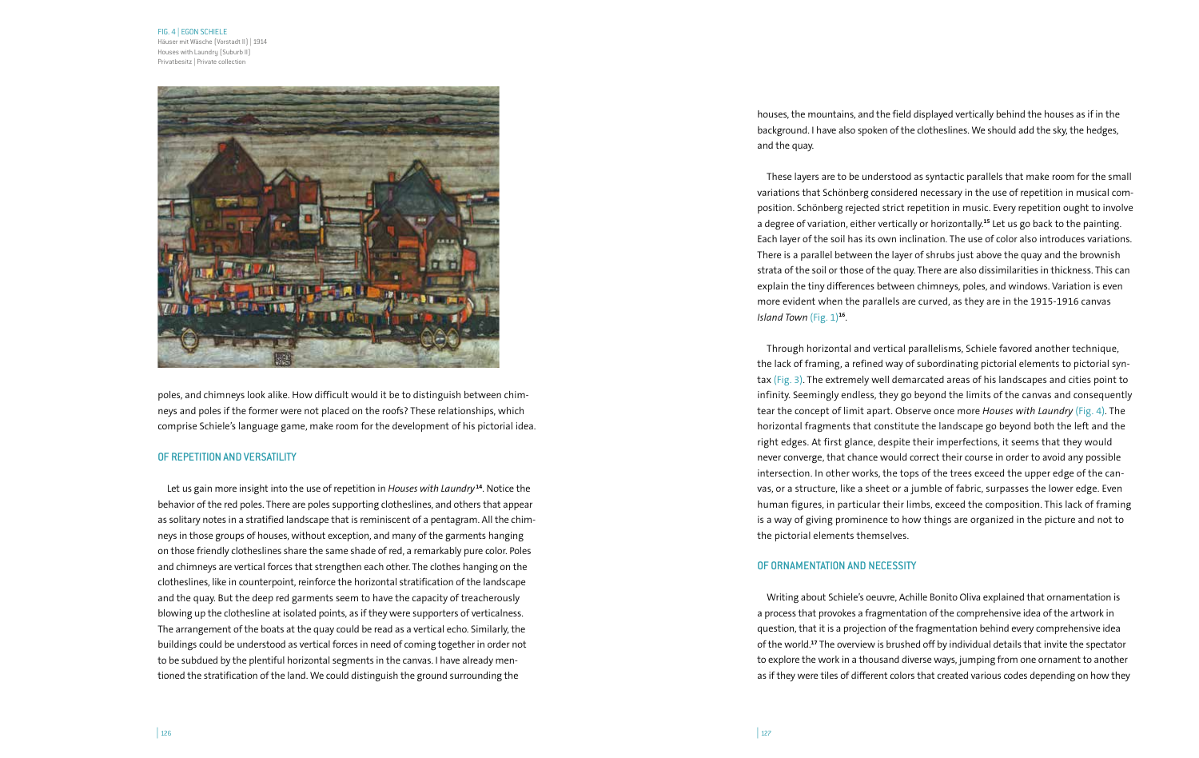#### FIG. 4 | EGON SCHIELE

Häuser mit Wäsche (Vorstadt II) | 1914 Houses with Laundry (Suburb II) Privatbesitz | Private collection



poles, and chimneys look alike. How difficult would it be to distinguish between chimneys and poles if the former were not placed on the roofs? These relationships, which comprise Schiele's language game, make room for the development of his pictorial idea.

# OF REPETITION AND VERSATILITY

Let us gain more insight into the use of repetition in *Houses with Laundry* **<sup>14</sup>**. Notice the behavior of the red poles. There are poles supporting clotheslines, and others that appear as solitary notes in a stratified landscape that is reminiscent of a pentagram. All the chimneys in those groups of houses, without exception, and many of the garments hanging on those friendly clotheslines share the same shade of red, a remarkably pure color. Poles and chimneys are vertical forces that strengthen each other. The clothes hanging on the clotheslines, like in counterpoint, reinforce the horizontal stratification of the landscape and the quay. But the deep red garments seem to have the capacity of treacherously blowing up the clothesline at isolated points, as if they were supporters of verticalness. The arrangement of the boats at the quay could be read as a vertical echo. Similarly, the buildings could be understood as vertical forces in need of coming together in order not to be subdued by the plentiful horizontal segments in the canvas. I have already mentioned the stratification of the land. We could distinguish the ground surrounding the

houses, the mountains, and the field displayed vertically behind the houses as if in the background. I have also spoken of the clotheslines. We should add the sky, the hedges, and the quay.

These layers are to be understood as syntactic parallels that make room for the small variations that Schönberg considered necessary in the use of repetition in musical composition. Schönberg rejected strict repetition in music. Every repetition ought to involve a degree of variation, either vertically or horizontally.**<sup>15</sup>** Let us go back to the painting. Each layer of the soil has its own inclination. The use of color also introduces variations. There is a parallel between the layer of shrubs just above the quay and the brownish strata of the soil or those of the quay. There are also dissimilarities in thickness. This can explain the tiny differences between chimneys, poles, and windows. Variation is even more evident when the parallels are curved, as they are in the 1915-1916 canvas *Island Town* (Fig. 1)**<sup>16</sup>**.

Through horizontal and vertical parallelisms, Schiele favored another technique, the lack of framing, a refined way of subordinating pictorial elements to pictorial syntax (Fig. 3). The extremely well demarcated areas of his landscapes and cities point to infinity. Seemingly endless, they go beyond the limits of the canvas and consequently tear the concept of limit apart. Observe once more *Houses with Laundry* (Fig. 4). The horizontal fragments that constitute the landscape go beyond both the left and the right edges. At first glance, despite their imperfections, it seems that they would never converge, that chance would correct their course in order to avoid any possible intersection. In other works, the tops of the trees exceed the upper edge of the canvas, or a structure, like a sheet or a jumble of fabric, surpasses the lower edge. Even human figures, in particular their limbs, exceed the composition. This lack of framing is a way of giving prominence to how things are organized in the picture and not to the pictorial elements themselves.

# OF ORNAMENTATION AND NECESSITY

Writing about Schiele's oeuvre, Achille Bonito Oliva explained that ornamentation is a process that provokes a fragmentation of the comprehensive idea of the artwork in question, that it is a projection of the fragmentation behind every comprehensive idea of the world.**<sup>17</sup>** The overview is brushed off by individual details that invite the spectator to explore the work in a thousand diverse ways, jumping from one ornament to another as if they were tiles of different colors that created various codes depending on how they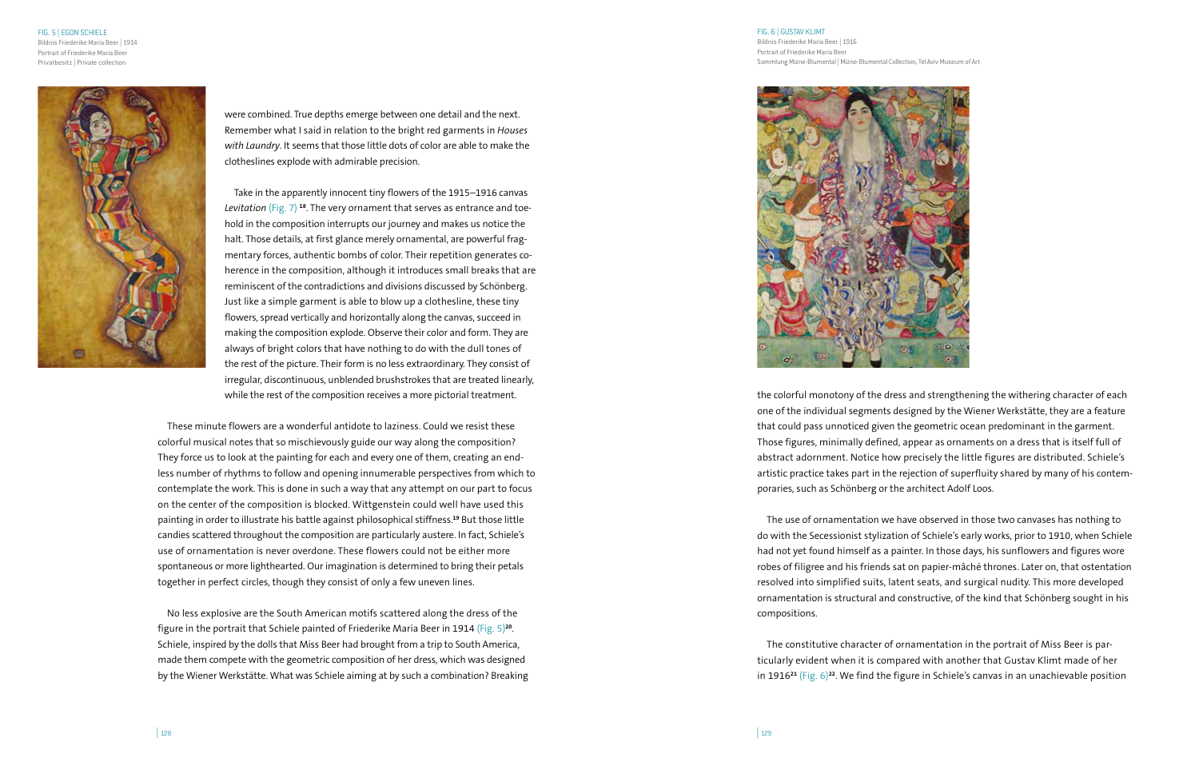FIG. 5 | EGON SCHIELE Bildnis Friederike Maria Beer | 1914 Portrait of Friederike Maria Beer Privatbesitz | Private collection



were combined. True depths emerge between one detail and the next. Remember what I said in relation to the bright red garments in *Houses with Laundry*. It seems that those little dots of color are able to make the clotheslines explode with admirable precision.

Take in the apparently innocent tiny flowers of the 1915–1916 canvas *Levitation* (Fig. 7) **<sup>18</sup>**. The very ornament that serves as entrance and toehold in the composition interrupts our journey and makes us notice the halt. Those details, at first glance merely ornamental, are powerful fragmentary forces, authentic bombs of color. Their repetition generates coherence in the composition, although it introduces small breaks that are reminiscent of the contradictions and divisions discussed by Schönberg. Just like a simple garment is able to blow up a clothesline, these tiny flowers, spread vertically and horizontally along the canvas, succeed in making the composition explode. Observe their color and form. They are always of bright colors that have nothing to do with the dull tones of the rest of the picture. Their form is no less extraordinary. They consist of irregular, discontinuous, unblended brushstrokes that are treated linearly, while the rest of the composition receives a more pictorial treatment.

These minute flowers are a wonderful antidote to laziness. Could we resist these colorful musical notes that so mischievously guide our way along the composition? They force us to look at the painting for each and every one of them, creating an endless number of rhythms to follow and opening innumerable perspectives from which to contemplate the work. This is done in such a way that any attempt on our part to focus on the center of the composition is blocked. Wittgenstein could well have used this painting in order to illustrate his battle against philosophical stiffness.**<sup>19</sup>** But those little candies scattered throughout the composition are particularly austere. In fact, Schiele's use of ornamentation is never overdone. These flowers could not be either more spontaneous or more lighthearted. Our imagination is determined to bring their petals together in perfect circles, though they consist of only a few uneven lines.

No less explosive are the South American motifs scattered along the dress of the figure in the portrait that Schiele painted of Friederike Maria Beer in 1914 (Fig. 5)**<sup>20</sup>**. Schiele, inspired by the dolls that Miss Beer had brought from a trip to South America, made them compete with the geometric composition of her dress, which was designed by the Wiener Werkstätte. What was Schiele aiming at by such a combination? Breaking

### FIG. 6 | GUSTAV KLIMT

Bildnis Friederike Maria Beer | 1916 Portrait of Friederike Maria Beer Sammlung Mizne-Blumental | Mizne-Blumental Collection, Tel Aviv Museum of Art



the colorful monotony of the dress and strengthening the withering character of each one of the individual segments designed by the Wiener Werkstätte, they are a feature that could pass unnoticed given the geometric ocean predominant in the garment. Those figures, minimally defined, appear as ornaments on a dress that is itself full of abstract adornment. Notice how precisely the little figures are distributed. Schiele's artistic practice takes part in the rejection of superfluity shared by many of his contemporaries, such as Schönberg or the architect Adolf Loos.

The use of ornamentation we have observed in those two canvases has nothing to do with the Secessionist stylization of Schiele's early works, prior to 1910, when Schiele had not yet found himself as a painter. In those days, his sunflowers and figures wore robes of filigree and his friends sat on papier-mâché thrones. Later on, that ostentation resolved into simplified suits, latent seats, and surgical nudity. This more developed ornamentation is structural and constructive, of the kind that Schönberg sought in his compositions.

The constitutive character of ornamentation in the portrait of Miss Beer is particularly evident when it is compared with another that Gustav Klimt made of her in 1916**<sup>21</sup>** (Fig. 6)**<sup>22</sup>**. We find the figure in Schiele's canvas in an unachievable position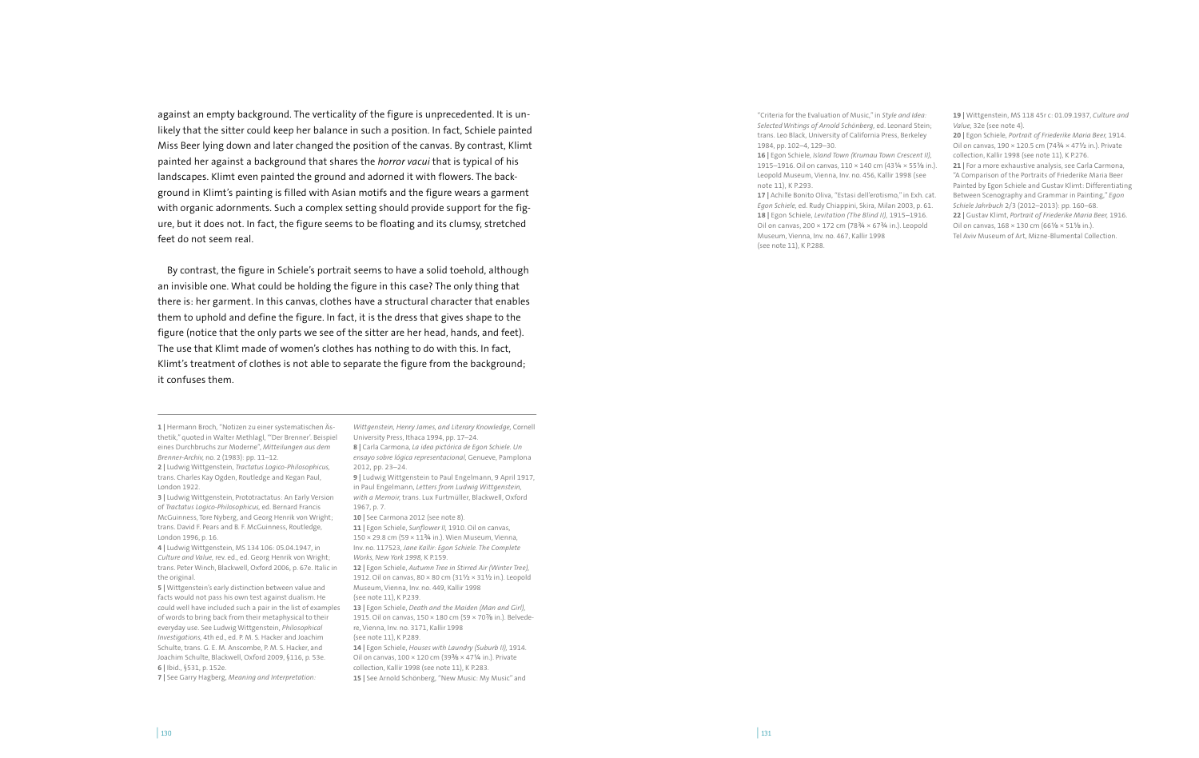against an empty background. The verticality of the figure is unprecedented. It is unlikely that the sitter could keep her balance in such a position. In fact, Schiele painted Miss Beer lying down and later changed the position of the canvas. By contrast, Klimt painted her against a background that shares the *horror vacui* that is typical of his landscapes. Klimt even painted the ground and adorned it with flowers. The background in Klimt's painting is filled with Asian motifs and the figure wears a garment with organic adornments. Such a complex setting should provide support for the figure, but it does not. In fact, the figure seems to be floating and its clumsy, stretched feet do not seem real.

By contrast, the figure in Schiele's portrait seems to have a solid toehold, although an invisible one. What could be holding the figure in this case? The only thing that there is: her garment. In this canvas, clothes have a structural character that enables them to uphold and define the figure. In fact, it is the dress that gives shape to the figure (notice that the only parts we see of the sitter are her head, hands, and feet). The use that Klimt made of women's clothes has nothing to do with this. In fact, Klimt's treatment of clothes is not able to separate the figure from the background; it confuses them.

**1 |** Hermann Broch, "Notizen zu einer systematischen Ästhetik," quoted in Walter Methlagl, "'Der Brenner'. Beispiel eines Durchbruchs zur Moderne", *Mitteilungen aus dem Brenner-Archiv,* no. 2 (1983): pp. 11–12. **2 |** Ludwig Wittgenstein, *Tractatus Logico-Philosophicus,* trans. Charles Kay Ogden, Routledge and Kegan Paul, London 1922.

**3 |** Ludwig Wittgenstein, Prototractatus: An Early Version of *Tractatus Logico-Philosophicus,* ed. Bernard Francis McGuinness, Tore Nyberg, and Georg Henrik von Wright; trans. David F. Pears and B. F. McGuinness, Routledge, London 1996, p. 16.

**4 |** Ludwig Wittgenstein, MS 134 106: 05.04.1947, in *Culture and Value,* rev. ed., ed. Georg Henrik von Wright; trans. Peter Winch, Blackwell, Oxford 2006, p. 67e. Italic in the original.

**5 |** Wittgenstein's early distinction between value and facts would not pass his own test against dualism. He could well have included such a pair in the list of examples of words to bring back from their metaphysical to their everyday use. See Ludwig Wittgenstein, *Philosophical Investigations,* 4th ed., ed. P. M. S. Hacker and Joachim Schulte, trans. G. E. M. Anscombe, P. M. S. Hacker, and Joachim Schulte, Blackwell, Oxford 2009, §116, p. 53e. **6 |** Ibid., §531, p. 152e.

**7 |** See Garry Hagberg, *Meaning and Interpretation:* 

*Wittgenstein, Henry James, and Literary Knowledge,* Cornell University Press, Ithaca 1994, pp. 17–24. **8 |** Carla Carmona, *La idea pictórica de Egon Schiele. Un ensayo sobre lógica representacional,* Genueve, Pamplona 2012, pp. 23–24.

**9 |** Ludwig Wittgenstein to Paul Engelmann, 9 April 1917, in Paul Engelmann, *Letters from Ludwig Wittgenstein, with a Memoir,* trans. Lux Furtmüller, Blackwell, Oxford 1967, p. 7.

**10 |** See Carmona 2012 (see note 8). **11 |** Egon Schiele, *Sunflower II,* 1910. Oil on canvas, 150 × 29.8 cm (59 × 11¾ in.). Wien Museum, Vienna, Inv. no. 117523, *Jane Kallir: Egon Schiele. The Complete Works, New York 1998,* K P.159. **12 |** Egon Schiele, *Autumn Tree in Stirred Air (Winter Tree),* 1912. Oil on canvas, 80 × 80 cm (31½ × 31½ in.). Leopold Museum, Vienna, Inv. no. 449, Kallir 1998

(see note 11), K P.239. **13 |** Egon Schiele, *Death and the Maiden (Man and Girl),* 1915. Oil on canvas, 150 × 180 cm (59 × 70⅞ in.). Belvede-

re, Vienna, Inv. no. 3171, Kallir 1998 (see note 11), K P.289.

**14 |** Egon Schiele, *Houses with Laundry (Suburb II),* 1914. Oil on canvas,  $100 \times 120$  cm (39%  $\times$  471/4 in.). Private collection, Kallir 1998 (see note 11), K P.283. **15 |** See Arnold Schönberg, "New Music: My Music" and

"Criteria for the Evaluation of Music," in *Style and Idea: Selected Writings of Arnold Schönberg,* ed. Leonard Stein; trans. Leo Black, University of California Press, Berkeley 1984, pp. 102–4, 129–30.

**16 |** Egon Schiele, *Island Town (Krumau Town Crescent II),*  1915–1916. Oil on canvas, 110 × 140 cm (43¼ × 55⅛ in.). Leopold Museum, Vienna, Inv. no. 456, Kallir 1998 (see note 11), K P.293.

**17 |** Achille Bonito Oliva, "Estasi dell'erotismo," in Exh. cat. *Egon Schiele,* ed. Rudy Chiappini, Skira, Milan 2003, p. 61. **18 |** Egon Schiele, *Levitation (The Blind II),* 1915–1916. Oil on canvas, 200  $\times$  172 cm (783/4  $\times$  673/4 in.). Leopold Museum, Vienna, Inv. no. 467, Kallir 1998 (see note 11), K P.288.

**19 |** Wittgenstein, MS 118 45r c: 01.09.1937, *Culture and Value,* 32e (see note 4).

**20 |** Egon Schiele, *Portrait of Friederike Maria Beer,* 1914. Oil on canvas, 190 × 120.5 cm (74¾ × 47½ in.). Private collection, Kallir 1998 (see note 11), K P.276. 21 | For a more exhaustive analysis, see Carla Carmona, "A Comparison of the Portraits of Friederike Maria Beer Painted by Egon Schiele and Gustav Klimt: Differentiating Between Scenography and Grammar in Painting," *Egon Schiele Jahrbuch* 2/3 (2012–2013): pp. 160–68. **22 |** Gustav Klimt, *Portrait of Friederike Maria Beer,* 1916. Oil on canvas, 168 × 130 cm (66⅛ × 51⅛ in.). Tel Aviv Museum of Art, Mizne-Blumental Collection.